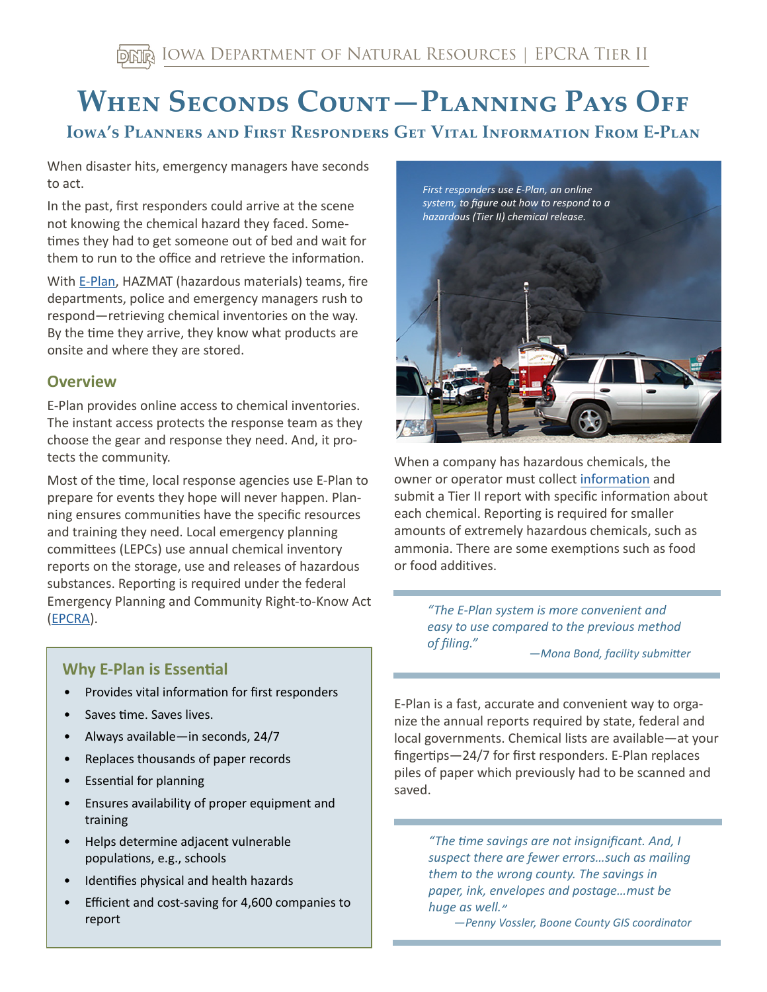# WHEN SECONDS COUNT-PLANNING PAYS OFF

# **IOWA'S PLANNERS AND FIRST RESPONDERS GET VITAL INFORMATION FROM E-PLAN**

When disaster hits, emergency managers have seconds to act.

In the past, first responders could arrive at the scene not knowing the chemical hazard they faced. Sometimes they had to get someone out of bed and wait for them to run to the office and retrieve the information.

With [E-Plan](https://erplan.net/eplan/home.htm), HAZMAT (hazardous materials) teams, fire departments, police and emergency managers rush to respond—retrieving chemical inventories on the way. By the time they arrive, they know what products are onsite and where they are stored.

### **Overview**

E-Plan provides online access to chemical inventories. The instant access protects the response team as they choose the gear and response they need. And, it protects the community.

Most of the time, local response agencies use E-Plan to prepare for events they hope will never happen. Planning ensures communities have the specific resources and training they need. Local emergency planning committees (LEPCs) use annual chemical inventory reports on the storage, use and releases of hazardous substances. Reporting is required under the federal Emergency Planning and Community Right-to-Know Act ([EPCRA\)](https://www.iowadnr.gov/Environmental-Protection/Land-Quality/Emergency-Planning-EPCRA).

## **Why E-Plan is Essential**

- Provides vital information for first responders
- Saves time. Saves lives.
- Always available—in seconds, 24/7
- Replaces thousands of paper records
- **Essential for planning**
- Ensures availability of proper equipment and training
- Helps determine adjacent vulnerable populations, e.g., schools
- Identifies physical and health hazards
- Efficient and cost-saving for 4,600 companies to report



 submit a Tier II report with specific information about When a company has hazardous chemicals, the owner or operator must collect [information](https://www.iowadnr.gov/Portals/idnr/uploads/forms/5420052.pdf) and each chemical. Reporting is required for smaller amounts of extremely hazardous chemicals, such as ammonia. There are some exemptions such as food or food additives.

> *"The E-Plan system is more convenient and easy to use compared to the previous method of filing." —Mona Bond, facility submitter*

E-Plan is a fast, accurate and convenient way to organize the annual reports required by state, federal and local governments. Chemical lists are available—at your fingertips—24/7 for first responders. E-Plan replaces piles of paper which previously had to be scanned and saved.

> *"The time savings are not insignificant. And, I suspect there are fewer errors…such as mailing them to the wrong county. The savings in paper, ink, envelopes and postage…must be huge as well."*

*—Penny Vossler, Boone County GIS coordinator*